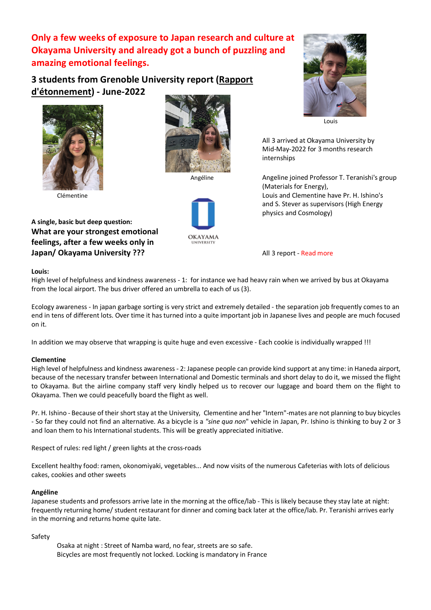**Only a few weeks of exposure to Japan research and culture at Okayama University and already got a bunch of puzzling and amazing emotional feelings.**

# **3 students from Grenoble University report (Rapport d'étonnement) - June-2022**





**A single, basic but deep question: What are your strongest emotional feelings, after a few weeks only in Japan/ Okayama University ???** All 3 report - Read more







Louis

All 3 arrived at Okayama University by Mid-May-2022 for 3 months research internships

Angéline Angeline joined Professor T. Teranishi's group (Materials for Energy), Clémentine Louis and Clementine have Pr. H. Ishino's and S. Stever as supervisors (High Energy physics and Cosmology)

### **Louis:**

High level of helpfulness and kindness awareness - 1: for instance we had heavy rain when we arrived by bus at Okayama from the local airport. The bus driver offered an umbrella to each of us (3).

Ecology awareness - In japan garbage sorting is very strict and extremely detailed - the separation job frequently comes to an end in tens of different lots. Over time it has turned into a quite important job in Japanese lives and people are much focused on it.

In addition we may observe that wrapping is quite huge and even excessive - Each cookie is individually wrapped !!!

### **Clementine**

High level of helpfulness and kindness awareness - 2: Japanese people can provide kind support at any time: in Haneda airport, because of the necessary transfer between International and Domestic terminals and short delay to do it, we missed the flight to Okayama. But the airline company staff very kindly helped us to recover our luggage and board them on the flight to Okayama. Then we could peacefully board the flight as well.

Pr. H. Ishino - Because of their short stay at the University, Clementine and her "Intern"-mates are not planning to buy bicycles - So far they could not find an alternative. As a bicycle is a *"sine qua non*" vehicle in Japan, Pr. Ishino is thinking to buy 2 or 3 and loan them to his International students. This will be greatly appreciated initiative.

Respect of rules: red light / green lights at the cross-roads

Excellent healthy food: ramen, okonomiyaki, vegetables... And now visits of the numerous Cafeterias with lots of delicious cakes, cookies and other sweets

#### **Angéline**

Japanese students and professors arrive late in the morning at the office/lab - This is likely because they stay late at night: frequently returning home/ student restaurant for dinner and coming back later at the office/lab. Pr. Teranishi arrives early in the morning and returns home quite late.

Safety

Osaka at night : Street of Namba ward, no fear, streets are so safe. Bicycles are most frequently not locked. Locking is mandatory in France